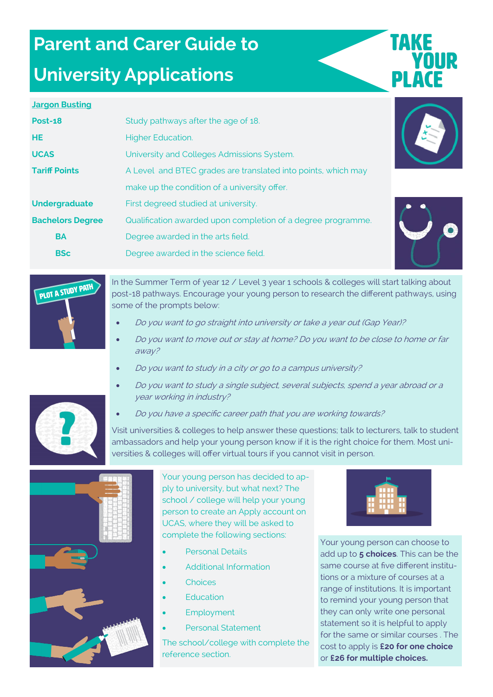# **Parent and Carer Guide to**

### **University Applications**

# **TAKE** YOUR

#### **Jargon Busting**

| <b>Post-18</b>          | Study pathways after the age of 18.                           |
|-------------------------|---------------------------------------------------------------|
| <b>HE</b>               | <b>Higher Education.</b>                                      |
| <b>UCAS</b>             | University and Colleges Admissions System.                    |
| <b>Tariff Points</b>    | A Level and BTEC grades are translated into points, which may |
|                         | make up the condition of a university offer.                  |
| <b>Undergraduate</b>    | First degreed studied at university.                          |
| <b>Bachelors Degree</b> | Qualification awarded upon completion of a degree programme.  |
| <b>BA</b>               | Degree awarded in the arts field.                             |
| <b>BSc</b>              | Degree awarded in the science field.                          |





In the Summer Term of year 12 / Level 3 year 1 schools & colleges will start talking about post-18 pathways. Encourage your young person to research the different pathways, using some of the prompts below:

- Do you want to go straight into university or take a year out (Gap Year)?
- Do you want to move out or stay at home? Do you want to be close to home or far away?
- Do you want to study in a city or go to a campus university?
- Do you want to study a single subject, several subjects, spend a year abroad or a year working in industry?
- Do you have a specific career path that you are working towards?

Visit universities & colleges to help answer these questions; talk to lecturers, talk to student ambassadors and help your young person know if it is the right choice for them. Most universities & colleges will offer virtual tours if you cannot visit in person.



Your young person has decided to apply to university, but what next? The school / college will help your young person to create an Apply account on UCAS, where they will be asked to complete the following sections:

- Personal Details
- Additional Information
- **Choices**
- **Education**
- **Employment**
- Personal Statement

The school/college with complete the reference section.



Your young person can choose to add up to **5 choices**. This can be the same course at five different institutions or a mixture of courses at a range of institutions. It is important to remind your young person that they can only write one personal statement so it is helpful to apply for the same or similar courses . The cost to apply is **£20 for one choice**  or **£26 for multiple choices.**